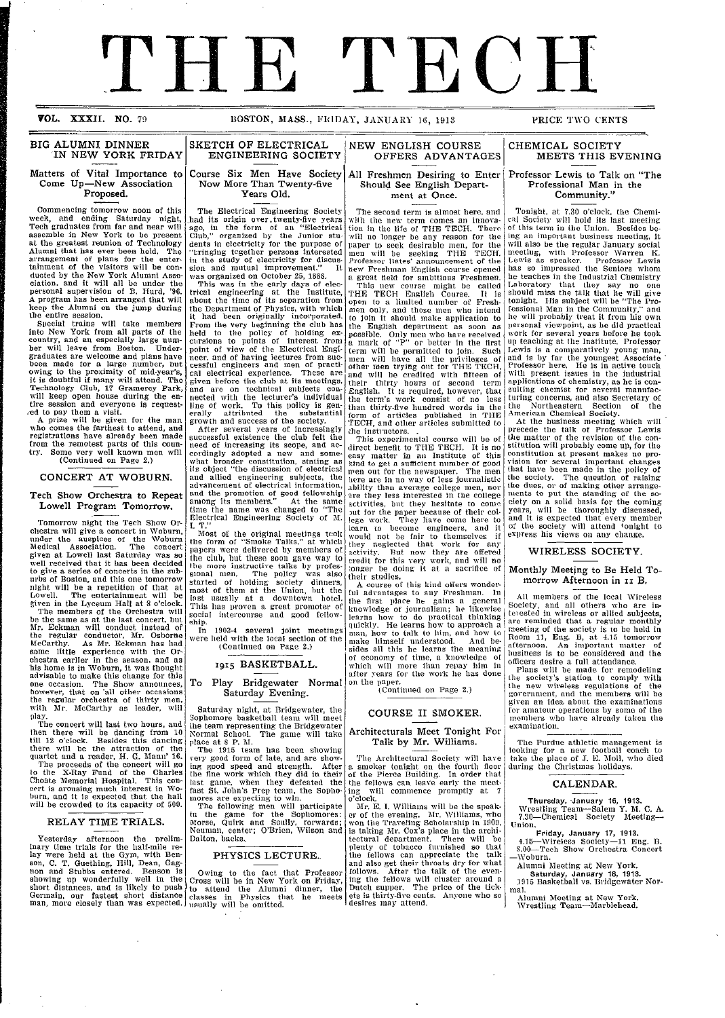# THE TECH

VOL. XXXII. NO. 79

#### BOSTON, MASS., FRIDAY, JANUARY 16, 1913

\_\_ \_\_ \_ \_\_\_\_\_\_\_

#### BIG ALUMNI DINNER IN NEW YORK FRIDAY

#### Matters of Vital Importance to Come Up-New Association Proposed.

Commencing tomorrow noon of this week, and ending Saturday night, Tech graduates from far and near will assemble in New York to be present at the greatest reunion of Technology Alumni that has ever been held. The arrangement of plans for the entertainment of the visitors will be con-ducted by the New York Alumni Asso-ciation. and it will all be under the personal supervision of B. IHurd, '96. A program has been arranged that will

keep the Alumni on the jump during<br>
Special trains will take members<br>
Special trains will take members<br>
into New York from all parts of the<br>
country, and an especially large number will leave from Boston. Under-graduates are welcome and plans have been made for a large number, but owing to the proximity of mid-year's, it is doubtful if many will attend. The Technology Club, 17 Gramercy Park, will keep open house during the en-<br>tire session and everyone is request-<br>ed to pay them a visit.<br>A prize will be given for the man<br>who comes the farthest to attend, and<br>registrations have already been made

from the remotest parts of this country. Some very well known men will (Continued on Page 2.)

#### CONCERT AT WOBURN.

#### Tech Show Orchestra to Repeat Lowell Program Tomorrow.

Tomorrow night the Tech Show Orchestra will give a concert in Woburn,<br>under the auspices of the Woburn Medical Association. The concert given at Lowell last Saturday was so well received that it has been decided well received that it has been decided<br>to give a series of concerts in the suburbs of Boston, and this one tomorrow night will be a repetition of that at Lowell. The entertainment will be given in the Lyceum Hall at 8 o'clock.

The members of the Orchestra will be the same as at the last concert, but Mr. Eckman will conduct instead of the regular conductor, Mr. Osborne McCarthy. As Mr. Eckman has had some little experience with the Orchestra earlier in the season, and as 'his home is in Woburn, it was thought advisable to make this change for this one occasion. The Show announces, however, that on 'all other occasions the regular orchestra of thirty men, with Mr. McCarthy as leader, will

play. The concert will last two hours, and then there will be dancing from 10 till 12 o'clock. Besides this dancing there will be the attraction of the quartet and a reader, H. G. Mann' 16. The proceeds of the concert will go the X-Ray Fund of the Charles Choate Memorial Hospital. This con-<br>pert is arousing much interest in Wo-<br>burn, and it is expected that the hall<br>will be crowded to its capacity of 500.

#### RELAY TIME TRIALS.

Yesterday afternoon the prelim-<br>inary time trials for the half-mile re-<br>lay were held at the Gym, with Benson, C. T. Guething, Hill, Dean, Gagnon and Stubbs entered. Benson is<br>showing up wonderfully well in the<br>short distances, and is likely to push Germain, our fastest short distance man, more closely than was expected.

i

I

#### SKETCH OF ELECTRICAL ENGINEERING SOCIETY

Course Six Men Have Society Now More Than Twenty-five Years Old.

The Electrical Engineering Society .had its origin over.twenty-five years ago, in the form of an "Electrical Club," organized by the Junior stu dents in electricity for the purpose of "bringing tcgether persons interested in the study of electricity for discussion and mutual improvement." It was organized on October 25, 1888.

This was in the early days of electrical engineering at the Institute, about the time of its separation from the Department of Physics, with which it had been originally incorporated. From the very beginning the club has<br>held to the policy of holding ex-<br>cursions to points of interest from<br>point of view of the Electrical Engineer, and of having lectures from suc- cessful engineers and men of practical electrical experience. These are given before the club at its meetings, and are on technical subjects connected with the lecturer's individual<br>line of work. To this policy is gen-<br>erally attributed the substantial<br>growth and success of the society.

After several years of increasingly successful existence the club felt the need of increasing its scope, and ac-<br>cordingly adopted a new and some-<br>what broader constitution, stating as<br>its object "the discussion of electrical and allied engineering subjects, the advancement of electrical information, and the promotion of good fellowship among its members." At the same time the name was changed to "The Electrical Engineering Society of M. I. T."

Most of the original meetings took the form of "Smoke Talks." at which l)apers were delivered by members of the club, but these soon gave way to the more instructive talks by prores-sional men. The policy was also started of holding society dinners, most of them at the Union, but the<br>last usually at a downtown hotel.<br>This has proven a great promoter of<br>social intercourse and good fellow-<br>ship.

In 1903-4 several joint meetings wvere held with the local section of the (Continued on Page 2.)

#### **19I5** BASKETBALL.

#### To Play Bridgewater Normal Saturday Evening.

Saturday night, at Bridgewater, the Sophomore basketball team will meet lhe team representing the Bridgewater Normal School. The game will take

place at 8 P. M.<br>The 1915 team has been showing<br>very good form of late, and are showing good speed and strength. After the fine work which they did in their last game, when they defeated the fast St. John's Prep team, the Sopho- mores are expecting to win. The following men will participate in the game for the Soplhomores;

Morse, Quirk and Scully, forwards; Neuman, center; O'Brien, Wilson and Dalton, backs..

#### PHYSICS LECTURE.

Owing to the fact that Professor Cross will be in New York on Friday, to attend the Alumni dinner, the classes in Physics that he meets usually will be omitted.

#### **NEW** ENGLISH COURSE OFFERS ADVANTAGES

All Freshmen Desiring to Enter **Should See English Department** at Once.

The second term is almost here, and vith the new term comes an innovation in the life of THE TECH. There will no longer be any reason for the raper to seek desirable men, for the men will be seeking THE TECH. Professor Bates' announcement of the new Freshman English course opened<br>a great field for ambitious Freshmen

This new course might be called 'rHE TECH English Course. It is open to a limited number of Fresh- men only, and those men who intend to join it should make application to the English department as soon as possible. Only men who have received a mark of "P" or better in the first term will be permitted to join. Such men will have all the privileges of other men trying out for THE TECH, and will be credited with fifteen of their thirty hours of second term English. It is required, however, that the term's work consist of no less than thirty-five hundred words in the form of articles published in THE TECH, and other articles submitted to dhe instructors. . This experimental course will be of

direct benefit to THE TECH. It is no easy matter in an Institute of this aind to get a sufficient number of good men out for the newspaper. The men hlere are in no way of less journalistic ability than average college men, nor are they less interested in the college activities, but they hesitate to come )ut for the paper because of their col-lege work. They liave come here to learn to become engineers, and it would not be fair to themselves if they neglected that work for any activity. But now they are offered credit for this very work, and will no longer be doing it at a sacrifice of

their studies. A course of this kind offers wonder-Jul advantages to any Freshman. In the first place he gains a general knowledge of journalisin; he likewise learns how to do practical thinking<br>quickly. He learns how to approach a<br>man, how to talk to him, and how to<br>make himself understood. And be-<br>sides all this he learns the meaning of economy of time, a knowledge of which will more than repay him in after years for the work he has done

on the paper.<br>(Continued on Page 2.)

#### COURSE II SMOKER.

#### **Architecturals Meet Tonight For** Talk by Mr. Williams.

The Architectural Society will have a smoker tonight on the fourth floor<br>of the Pierce Building. In order that<br>the fellows can leave early the meet-<br>ing will commence promptly at 7

o'clock. Mr. E. I. Williams will be the speaker of the evening, Mr. Williams, who won the Traveling Scholarship in 1909, is taking MIr. Cox's place in the archi-tectural department. There will be plenty of tobacco furnished so that the fellows can appreciate the talk and also get their throats dry for what follows. After the talk of the even-ing the fellows will cluster around a Dutch supper. The price of the tickets is thirty-five cents. Anyone who so desires may attend.

#### PRICE TWO CENTS

#### CHEMICAL SOCIETY MEETS THIS EVENING

#### Professor Lewis to Talk on "The Professional Man in the Community."

Tonight, at 7.30 o'clock, the Chemical Society will hold its last meeting of this term in the Union. Besides be-ing an important business meeting, it will also be the regular January social meeting, with Professor Warren K. Lewis as speaker. Professor Lewis has so impressed the Seniors whom he teaches in the Industrial Chemistry Laboratory that they say no one should miss the talk that he will give tonight. His subject will be "The Pro-fessional Man in the Community," and he will probably treat it from his own personal viewpoint, as he did practical work for several years before he took up teaching at the Institute. Professor Lewis is a comparatively young man, and is by far the youngest Associate Professor here. He is in active touch with present issues in the industrial applications of chemistry, as he is con-<br>sulting chemist for several manufac-<br>turing concerns, and also Secretary of

the Northeastern Section of the<br>American Chemical Society.<br>At the business meeting which will<br>precede the talk of Professor Lewis<br>the matter of the revision of the con-<br>stitution will probably come up, for the<br>constitution vision for several important changes<br>that have been made in the policy of the society. The question of raising the dues, or of making other arrange-iments to put the standing of the society on a solid basis for the coming years, will be thoroughly discussed,<br>and it is expected that every member of the society will attend tonighlt to express his views **Oil** any change.

#### WIRELESS SOCIETY.

#### Monthly Meeting to Be Held Tomorrow Afternoon in II B.

All members of the local Wireless Society, and all others who are intevested in wireless or allied subjects,<br>are reminded that a regular monthly<br>meeting of the society is to be held in<br>Room 11, Eng. B, at 4.15 tomorrow<br>afternoon. An important matter of business is to be considered and the

officers desire a full attendance.<br>Plans will be made for remodeling<br>the society's station to comply with the new wireless regulations of the government, and the members will be given an idea about the examinations for amateur operations by some of the<br>members who have already taken the members who have already taken the<br>examination.

Tile Purdue athletic management is looking for a new football coach to take the place of J. E. Moll, who died during the Christmas holidays.

#### CALENDAR.

**Thursday, January 16, 1913.**<br>Wrestling Team-Salem Y. M. C. A.<br>7.30—Chemical Society Meeting-Union.

Friday, January 17, 1913.<br>4.15—Wireless Society-11 Eng. B.<br>8.00—Tech Show Orchestra Concert -Wobl)urn.

Alumni Meeting at New York. **Saturday, January 18,** 1913. 1915 Basketball vs. Bridgewater Nor-

mal.

Alumni Meeting at New York. Wrestling Team-Marblehead.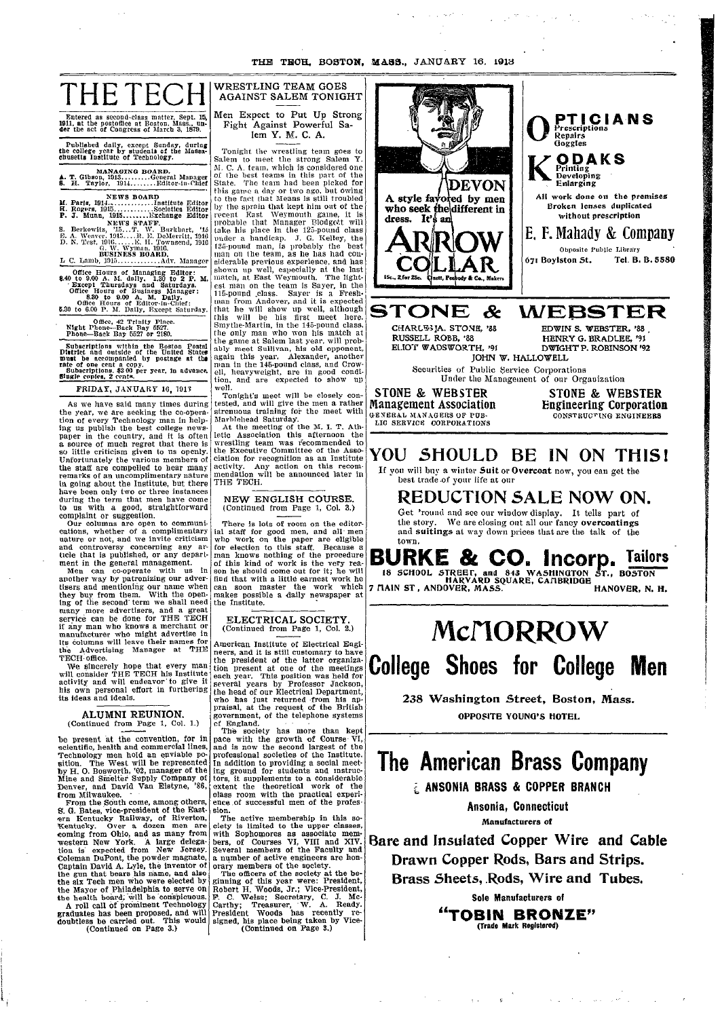THE TECH. BOSTON. MASS., JANUARY 16, 1913

|  | Entered as second-class matter, Sept. 15.<br>1911, at the postoffice at Boston, Mass., un-<br>der the act of Congress of March 3, 1879. |  |  |
|--|-----------------------------------------------------------------------------------------------------------------------------------------|--|--|

Published daily, except Sunday, during<br>the college year by students of the Massa-chusetts Institute of Technology.

MANAGING BOARD.<br>
1. T. Gibson, 1913.........General Manager<br>
8. H. Taylor, 1914.........Editor-in-Chief

19 of the Hours of Managing Balton:<br>
19 of the Hours of Managing Balton:<br>
19 of 2 P. M.<br>
19 of 2 P. M.<br>
19 of 2 P. M.<br>
19 of 19 of 19 S.<br>
19 of 2 P. M.<br>
19 of 2 P. M.<br>
19 of 2 P. M.<br>
19 of 2 B.<br>
19 of 2 B.<br>
19 of 2 B.<br>
19

Office, 42 Trinity Place.<br>Night Phone—Back Bay 5527.<br>Phone—Back Bay 5527 or 2180.

Subscriptions within the Boston Postal<br>District and outside of the United States<br>must be accompanied by postage at the<br>rate of one cent a copy.<br>Subscriptions, \$200 per year, in advance,<br>single confes. 2 cents.

FRIDAY, JANUARY 16, 1913

As we have said many times during As we have salu many times during<br>the year, we are seeking the co-opera-<br>tion of every Technology man in help-<br>ing us publish the best college news-<br>paper in the country, and it is often<br>a source of much regret that there the staff are compelled to hear many<br>remarks of an uncomplimentary nature

remarks of an uncomplimentary nature<br>in going about the Institute, but there<br>have been only two or three instances<br>during the term that men have come<br>to us with a good, straightforward<br>complaint or suggestion.<br>Our columns

ticle trait is published, or any department in the general management.<br>Men can co-operate with us in<br>another way by patronizing our adver-<br>tisers and mentioning our name when<br>they buy from them. With the open-<br>ing of the s many more advertisers, and a great<br>service can be done for THE TECH<br>if any man who knows a merchant or if any man who knows a merchant or<br>manufacturer who might advertise in<br>lts columns will leave their names for<br>the Advertising Manager at THE<br>TECH office.

FECH office.<br>We shacerely hope that every man<br>will consider THE TECH his Institute<br>activity and will endeavor to give it<br>his own personal effort in furthering its ideas and ideals.

ALUMNI REUNION. (Continued from Page 1, Col. 1.)

(continued from Page 1, Col. 1.)<br>be present at the convention, for in<br>scientific, health and commercial lines,<br>Technology men hold an enviable po-<br>gition. The West will be represented<br>by H. O. Bosworth, '02, manager of the

the six Tech men who were elected by<br>the Mayor of Philadelphia to serve on<br>the health board, will be conspicuous.<br>A roll call of prominent Technology<br>graduates has been proposed, and will<br>doubtless be carried out. This wou

### WRESTLING TEAM GOES **AGAINST SALEM TONIGHT**

Men Expect to Put Up Strong Fight Against Powerful Salem Y. M. C. A.

Tonight the wrestling team goes to<br>Salem to meet the strong Salem Y.<br>M. C. A. team, which is considered one of the best teams in this part of the State. The team had been picked for<br>this game a day or two ago, but owing<br>to the fact that Means is still troubled this game a day or two ago, but owing<br>to the fact that Means is still troubled<br>by the sprain that kept him out of the<br>preent East Weymouth game, it is<br>probable that Manager Blodgect will<br>take his place in the 125-pound cl ell, heavyweight, are in good condition, and are expected to show up well.

Tonight's meet will be closely con-

Tonight's meet will be closely contested, and will give the men a rather strenuous training for the meet with Marblehead Saturday.<br>At the meeting of the meet with Marblehead Saturday.<br>At the meeting of the M. I. T. Athleti THE TECH.

NEW ENGLISH COURSE. (Continued from Page 1, Col. 3.)

There is lots of room on the editor-There is lots of room on the equivalent<br>all staff for good men, and all men<br>who work on the paper are eligible<br>for election to this staff. Because a<br>man knows nothing of the procedure<br>of this kind of work is the very rea-<br> near soon master the work which<br>makes possible a daily newspaper at<br>the Institute.

### ELECTRICAL SOCIETY.<br>(Continued from Page 1, Col. 2.)

American Institute of Electrical Engi-American Institute of Electrical Engineers, and it is still customary to have<br>the president of the latter organiza-<br>tion present at one of the meetings<br>each year. This position was held for<br>several years by Professor Jacks

pace with the growth of Course VI,<br>and is now the second largest of the<br>professional societies of the Institute. protessional societies of the institute.<br>In addition to providing a social meet-<br>ing ground for students and instruc-<br>tors, it supplements to a considerable<br>extent the theoretical work of the<br>class room with the practical

sion.<br>
The active membership in this so-<br>
text is limited to the upper classes,<br>
with Sophomores as associate members, of Courses VI, VIII and XIV.<br>
Several members of the Faculty and<br>
numbers of the Faculty and

Several members of the Faculty and<br>a number of active engineers are hon-<br>orany members of the society.<br>The officers of the society at the be-<br>ginning of this year were: President,<br>Robert H. Woods, Jr.; Vice-President,<br>P. C



YOU SHOULD BE IN ON THIS!

If you will buy a winter Suit or Overcoat now, you can get the best trade of your life at our

REDUCTION SALE NOW ON. Get 'round and see our window display. It tells part of the story. We are closing out all our fancy overcoatings<br>and suitings at way down prices that are the talk of the town.

BURKE & CO. Incorp. Tailors<br>18 SCHOOL STREET, and 843 WASHINGTON ST., BOSTON<br>7 MAIN ST, ANDOVER, MASS. HANOVER, N. H.

# McMORROW **College Shoes for College Men**

238 Washington Street, Boston, Mass. OPPOSITE YOUNG'S HOTEL.

## The American Brass Company

**E ANSONIA BRASS & COPPER BRANCH** 

Ansonia, Connecticut Manufacturers of

Bare and Insulated Copper Wire and Cable Drawn Copper Rods, Bars and Strips. Brass Sheets, Rods, Wire and Tubes.

Sole Manufacturers of

"TOBIN BRONZE" (Trade Mark Registered)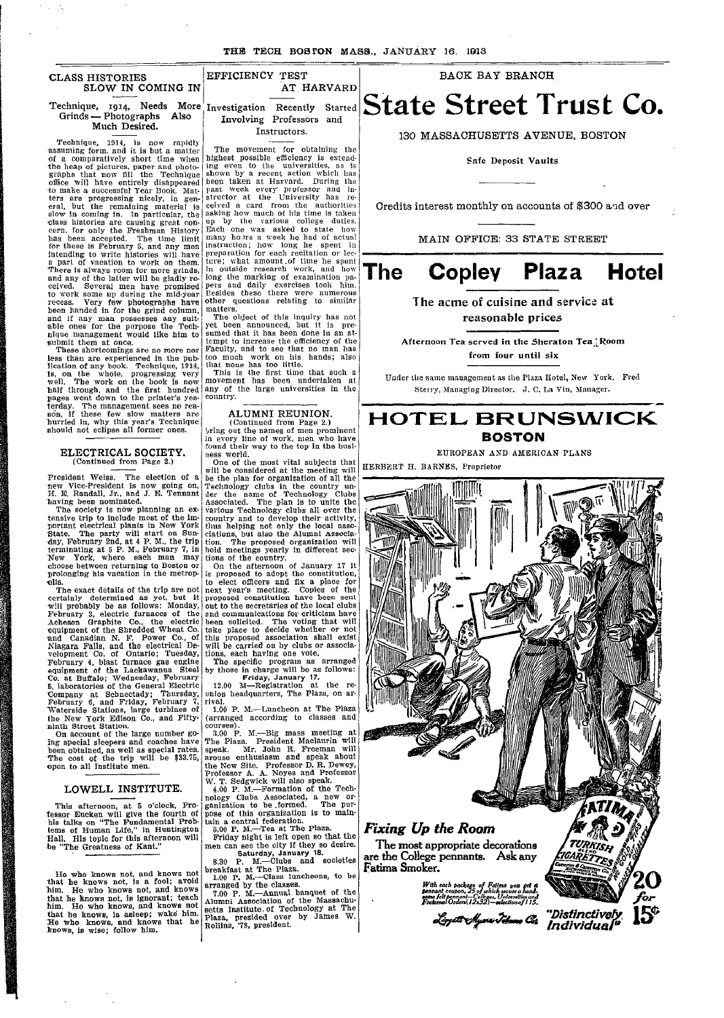| <b>CLASS HISTORIES</b> |  |                   |  |
|------------------------|--|-------------------|--|
|                        |  | SLOW IN COMING IN |  |

#### Technique, **1914,** Needs More Investigation Recently Started Grinds - Photographs Also **Much Desired.**

Technique, 1914, is now rapidly assuming form, and it is but a matter of a comparatively short time when the heap of pictures, paper and photo-graphs that now fill the Technique office will have entirely disappeared<br>to make a successful Year Book. Mat-<br>ters are progressing nicely, in gen-<br>eral, but the remaining material is<br>slow in coming in. In particular, the<br>class histories are causing great co has been accepted. The time limit for these is February 5, and any men intending to write histories will have<br>a part of vacation to work on them.<br>There is always room for more grinds,<br>and any of the latter will be gladly re-<br>ceived. Several men have promised<br>to work some up during the mid-yea recess. Very few photographs have been handed in for the grind column, and if any man possesses any suit-able ones for the purpose the Technique management would like him to submit them at once. These shortcomings are no more nor

less than are experienced in the pub-lication of any book. Technique, 1914, is, on the whole, progressing very well. The work on the book is now half through, and the first hundred pages went down to the printer's yesterday. The management sees no rea-son, if these few slow matters are hurried in, why this year's Technique should not eclipse all former ones.

#### ELECTRICAL SOCIETY. (Continued from Page 2.)

President Weiss. The election of a riesident weiss. The election of a<br>new Vice-President is now going on,<br>H. E. Randall, Jr., and J. E. Tennant H. E. Randall, Jr., and J. E. Tennant having been nominated.

The society is now planning an extensive trip to include most of the im-portant electrical plants in New York State. The party will start on Sun day, February 2nd, at 4 P. M., the trip<br>terminating at 5 P. M., February 7, in<br>New York, where each man may<br>choose between returning to Boston or<br>prolonging his vacation in the metropolis.

The exact details of the trip are not certainly determined as yet, but it will probably be as follows: Monday, February 3, electric furnaces of the Acheson Graphite Co., the electric equipment of the Shredded Wheat Co. and Canadian N. F. Power Co., of Niagara Falls, and the electrical Development Co. of Ontario; Tuesday, February 4, blast furnace gas engine equipment of the Lackawanna Steel Co. at Buffalo; Wednesday, February 5, laboratories of the General Electric Company at Schnectady; Thursday, February 6, and Friday, February 7, Waterside Stations, large turbines of the New York Edison Co., and Fifty-ninth Street Station. On account of the large number go-

ing special sleepers and coaches have been obtained, as well as special rates. The cost of the trip will be \$33.75, open to- all Institute men.

#### LOWELL INSTITUTE.

This afternoon, at 5 o'clock, Pro- 'essor Eucken will give the fourth of his talks on "The Fundamental Prob-lems of Human Life," in Huntington 'Hall. His topic for this afternoon will be "The Greatness of Kant."

He who knows not, and knows not that he knows not, is a fool; avoid him. He who knows not, and knows that he knows not, is ignorant; teach him. He who knows, and knows not that he knows, is asleep; wake him. He who knows, and knows that he knows, is wise; follow him. <sup>I</sup> IF

EFFICIENCY TEST AT HARVARD

Involving Professors and Instructors.

The movement for obtaining the highest possible efficiency is extend-ing even to the universities, as is shown by a recent action which has been taken at Harvard. During the past week every professor and in-<br>structor at the University has re-<br>ceived a card from the authorities<br>asking how much of his time is taken up by the various college duties. Each one was asked to state how many howrs a week he had of actual<br>instruction; how long he spent in preparation for each recitation or lecture; what amount of time he spent in outside research work, and how long the marking of examination pa-pers and daily exercises took him. Besides these there were numerous other questions relating to similar

I

matters. The object of this inquiry has not yet been announced, but it is pre-sumed that it has been done in an attempt to increase the efficiency of the Faculty, and to see that no man has too much work on his hands; also that none has too little. This is the first time that such a i

movement has been undertaken at any of the large universities in the country.

#### ALUMNI REUNION. (Continued from Page 2.)

,)ring out the names of men prominent in every line of work, men who have round their way to the top in the busi-i ness world. One of the most vital subjects that

will be considered at the meeting will be the plan for organization of all the Technology clubs in the country un-aer the name of Technology Clubs Associated. The plan is to unite the various Technology clubs all over the<br>country and to develop their activity,<br>thus helping not only the local associa-<br>ciations, but also the Alumni Associa-<br>tion. The proposed organization will<br>hold meetings yearly in diff b<br>T .<br>C .<br>h

to elect officers and fix a place for next year's meeting. Copies of the proposed constitution have been sent proposed constitution have been sent<br>out to the secretaries of the local clubs and communications for criticism have<br>been solicited. The voting that will<br>take place to decide whether or not<br>this proposed association shall exist<br>will be carried on by clubs or associa-<br>tions, each having one vote.<br>The i ...<br>Lh .<br>Li

b

by those in charge will be as follows:<br>
Friday, January 17.<br>
12.00 M-Registration at the re-<br>
union headquarters, The Plaza, on ar-<br>
rival. ri

1.00 P. M.-Luncheon at The Plaza (arranged according to classes and<br>courses). courses). ·. 00 P. M.-Big mass meeting at I

The Plaza. President Maclaurin will speak. Mr. John R. Freeman will arouse enthusiasm and speak about .<br>T t I

i

the New Site. Professor D. R. Dewey,<br>Professor A. A. Noyes and Professor<br>W. T. Sedgwick will also speak,<br>4.00 P. M.—Formation of the Tech-<br>nology Clubs Associated, a new or-<br>ganization to be formed. The pur-<br>pose of this o i 5<br>D I

tain a central federation. 5.00 P. M.-Tea at The Plaza. Friday night is left open so that the n

men can see the city if they so desire.<br>
Saturday, January **18.**<br>
8.30 P. M.—Clubs and societies

breakfast at The Plaza. 1.00 P. M.-Class luncheons, to be arranged by the classes. I I

7.00 P. M.-Annual banquet of the Alumni Association of the Massachu-setts Institute. of Technology at The Plaza, presided over by James W. Rollins, '78, president. R

**BACK BAY BRANCH**

# **State Street Trust Co.**

130 MASSACHUSETTS AVENUE, BOSTON

**Safe Deposit Vaults**

Credits interest monthly on accounts of \$300 and over

MAIN OFFICE: 33 STATE STREET

## **The Copley Plaza Hotel**

#### **The acme of cuisine and service at** reasonable **prices**

**Afternoon Tea served in the Sheraton Tea '-Room from four until six**

Under tile same manuagement as the Plaza Hotel, New York. Fred Sterry, Managing Director. J. C. La Vin, Manager.

### <code>HOTEL</code> BRUNSWICK **BOSTON**

EUROPEAN AND AMERICAN PLANS

HERBERT H. BARNES, Proprietor